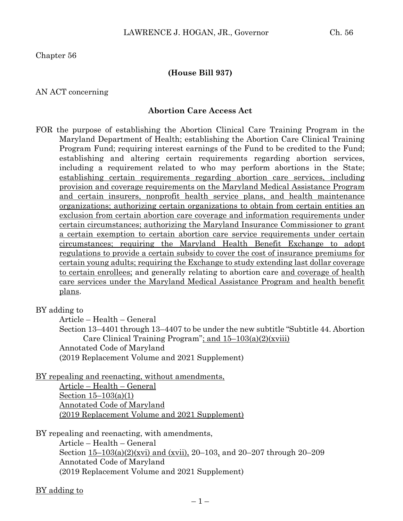Chapter 56

#### **(House Bill 937)**

#### AN ACT concerning

#### **Abortion Care Access Act**

FOR the purpose of establishing the Abortion Clinical Care Training Program in the Maryland Department of Health; establishing the Abortion Care Clinical Training Program Fund; requiring interest earnings of the Fund to be credited to the Fund; establishing and altering certain requirements regarding abortion services, including a requirement related to who may perform abortions in the State; establishing certain requirements regarding abortion care services, including provision and coverage requirements on the Maryland Medical Assistance Program and certain insurers, nonprofit health service plans, and health maintenance organizations; authorizing certain organizations to obtain from certain entities an exclusion from certain abortion care coverage and information requirements under certain circumstances; authorizing the Maryland Insurance Commissioner to grant a certain exemption to certain abortion care service requirements under certain circumstances; requiring the Maryland Health Benefit Exchange to adopt regulations to provide a certain subsidy to cover the cost of insurance premiums for certain young adults; requiring the Exchange to study extending last dollar coverage to certain enrollees; and generally relating to abortion care and coverage of health care services under the Maryland Medical Assistance Program and health benefit plans.

BY adding to

Article – Health – General

Section 13–4401 through 13–4407 to be under the new subtitle "Subtitle 44. Abortion Care Clinical Training Program"; and 15–103(a)(2)(xviii) Annotated Code of Maryland (2019 Replacement Volume and 2021 Supplement)

BY repealing and reenacting, without amendments,

Article – Health – General Section 15–103(a)(1) Annotated Code of Maryland (2019 Replacement Volume and 2021 Supplement)

BY repealing and reenacting, with amendments,

Article – Health – General Section 15–103(a)(2)(xvi) and (xvii), 20–103, and 20–207 through 20–209 Annotated Code of Maryland (2019 Replacement Volume and 2021 Supplement)

#### BY adding to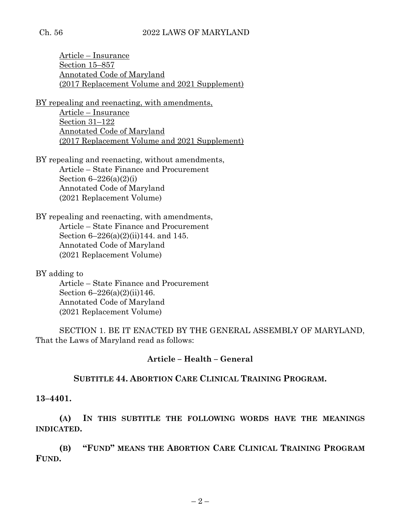#### Ch. 56 2022 LAWS OF MARYLAND

Article – Insurance Section 15–857 Annotated Code of Maryland (2017 Replacement Volume and 2021 Supplement)

BY repealing and reenacting, with amendments, Article – Insurance Section 31–122 Annotated Code of Maryland (2017 Replacement Volume and 2021 Supplement)

BY repealing and reenacting, without amendments, Article – State Finance and Procurement Section  $6-226(a)(2)(i)$ Annotated Code of Maryland (2021 Replacement Volume)

BY repealing and reenacting, with amendments, Article – State Finance and Procurement Section 6–226(a)(2)(ii)144. and 145. Annotated Code of Maryland (2021 Replacement Volume)

BY adding to Article – State Finance and Procurement Section 6–226(a)(2)(ii)146. Annotated Code of Maryland (2021 Replacement Volume)

SECTION 1. BE IT ENACTED BY THE GENERAL ASSEMBLY OF MARYLAND, That the Laws of Maryland read as follows:

#### **Article – Health – General**

#### **SUBTITLE 44. ABORTION CARE CLINICAL TRAINING PROGRAM.**

#### **13–4401.**

**(A) IN THIS SUBTITLE THE FOLLOWING WORDS HAVE THE MEANINGS INDICATED.**

**(B) "FUND" MEANS THE ABORTION CARE CLINICAL TRAINING PROGRAM FUND.**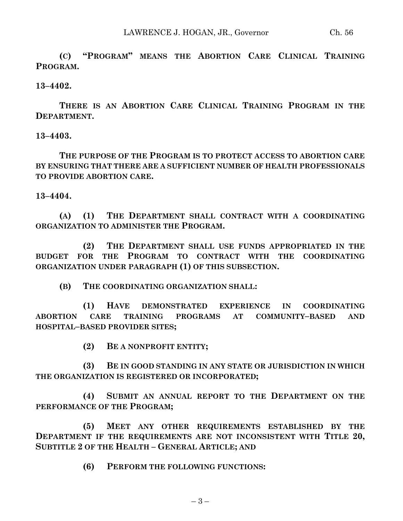**(C) "PROGRAM" MEANS THE ABORTION CARE CLINICAL TRAINING PROGRAM.**

**13–4402.**

**THERE IS AN ABORTION CARE CLINICAL TRAINING PROGRAM IN THE DEPARTMENT.**

**13–4403.**

**THE PURPOSE OF THE PROGRAM IS TO PROTECT ACCESS TO ABORTION CARE BY ENSURING THAT THERE ARE A SUFFICIENT NUMBER OF HEALTH PROFESSIONALS TO PROVIDE ABORTION CARE.**

**13–4404.**

**(A) (1) THE DEPARTMENT SHALL CONTRACT WITH A COORDINATING ORGANIZATION TO ADMINISTER THE PROGRAM.**

**(2) THE DEPARTMENT SHALL USE FUNDS APPROPRIATED IN THE BUDGET FOR THE PROGRAM TO CONTRACT WITH THE COORDINATING ORGANIZATION UNDER PARAGRAPH (1) OF THIS SUBSECTION.**

**(B) THE COORDINATING ORGANIZATION SHALL:**

**(1) HAVE DEMONSTRATED EXPERIENCE IN COORDINATING ABORTION CARE TRAINING PROGRAMS AT COMMUNITY–BASED AND HOSPITAL–BASED PROVIDER SITES;**

**(2) BE A NONPROFIT ENTITY;**

**(3) BE IN GOOD STANDING IN ANY STATE OR JURISDICTION IN WHICH THE ORGANIZATION IS REGISTERED OR INCORPORATED;**

**(4) SUBMIT AN ANNUAL REPORT TO THE DEPARTMENT ON THE PERFORMANCE OF THE PROGRAM;**

**(5) MEET ANY OTHER REQUIREMENTS ESTABLISHED BY THE DEPARTMENT IF THE REQUIREMENTS ARE NOT INCONSISTENT WITH TITLE 20, SUBTITLE 2 OF THE HEALTH – GENERAL ARTICLE; AND**

**(6) PERFORM THE FOLLOWING FUNCTIONS:**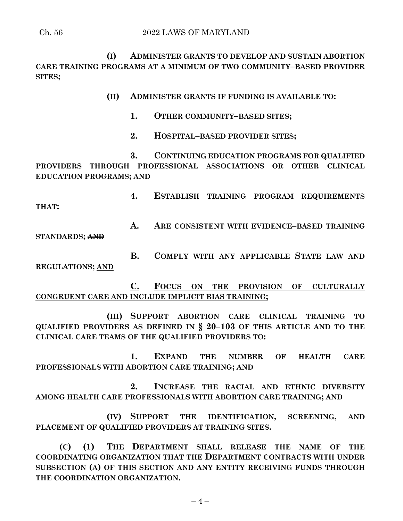**(I) ADMINISTER GRANTS TO DEVELOP AND SUSTAIN ABORTION CARE TRAINING PROGRAMS AT A MINIMUM OF TWO COMMUNITY–BASED PROVIDER SITES;**

- **(II) ADMINISTER GRANTS IF FUNDING IS AVAILABLE TO:**
	- **1. OTHER COMMUNITY–BASED SITES;**
	- **2. HOSPITAL–BASED PROVIDER SITES;**

**3. CONTINUING EDUCATION PROGRAMS FOR QUALIFIED PROVIDERS THROUGH PROFESSIONAL ASSOCIATIONS OR OTHER CLINICAL EDUCATION PROGRAMS; AND**

**4. ESTABLISH TRAINING PROGRAM REQUIREMENTS THAT:**

**A. ARE CONSISTENT WITH EVIDENCE–BASED TRAINING STANDARDS; AND**

**B. COMPLY WITH ANY APPLICABLE STATE LAW AND REGULATIONS; AND**

**C. FOCUS ON THE PROVISION OF CULTURALLY CONGRUENT CARE AND INCLUDE IMPLICIT BIAS TRAINING;**

**(III) SUPPORT ABORTION CARE CLINICAL TRAINING TO QUALIFIED PROVIDERS AS DEFINED IN § 20–103 OF THIS ARTICLE AND TO THE CLINICAL CARE TEAMS OF THE QUALIFIED PROVIDERS TO:**

**1. EXPAND THE NUMBER OF HEALTH CARE PROFESSIONALS WITH ABORTION CARE TRAINING; AND**

**2. INCREASE THE RACIAL AND ETHNIC DIVERSITY AMONG HEALTH CARE PROFESSIONALS WITH ABORTION CARE TRAINING; AND**

**(IV) SUPPORT THE IDENTIFICATION, SCREENING, AND PLACEMENT OF QUALIFIED PROVIDERS AT TRAINING SITES.**

**(C) (1) THE DEPARTMENT SHALL RELEASE THE NAME OF THE COORDINATING ORGANIZATION THAT THE DEPARTMENT CONTRACTS WITH UNDER SUBSECTION (A) OF THIS SECTION AND ANY ENTITY RECEIVING FUNDS THROUGH THE COORDINATION ORGANIZATION.**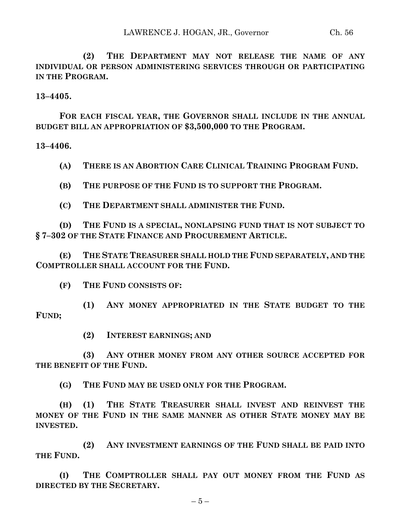**(2) THE DEPARTMENT MAY NOT RELEASE THE NAME OF ANY INDIVIDUAL OR PERSON ADMINISTERING SERVICES THROUGH OR PARTICIPATING IN THE PROGRAM.**

**13–4405.**

**FOR EACH FISCAL YEAR, THE GOVERNOR SHALL INCLUDE IN THE ANNUAL BUDGET BILL AN APPROPRIATION OF \$3,500,000 TO THE PROGRAM.**

**13–4406.**

- **(A) THERE IS AN ABORTION CARE CLINICAL TRAINING PROGRAM FUND.**
- **(B) THE PURPOSE OF THE FUND IS TO SUPPORT THE PROGRAM.**
- **(C) THE DEPARTMENT SHALL ADMINISTER THE FUND.**

**(D) THE FUND IS A SPECIAL, NONLAPSING FUND THAT IS NOT SUBJECT TO § 7–302 OF THE STATE FINANCE AND PROCUREMENT ARTICLE.**

**(E) THE STATE TREASURER SHALL HOLD THE FUND SEPARATELY, AND THE COMPTROLLER SHALL ACCOUNT FOR THE FUND.**

**(F) THE FUND CONSISTS OF:**

**(1) ANY MONEY APPROPRIATED IN THE STATE BUDGET TO THE FUND;**

**(2) INTEREST EARNINGS; AND** 

**(3) ANY OTHER MONEY FROM ANY OTHER SOURCE ACCEPTED FOR THE BENEFIT OF THE FUND.**

**(G) THE FUND MAY BE USED ONLY FOR THE PROGRAM.**

**(H) (1) THE STATE TREASURER SHALL INVEST AND REINVEST THE MONEY OF THE FUND IN THE SAME MANNER AS OTHER STATE MONEY MAY BE INVESTED.**

**(2) ANY INVESTMENT EARNINGS OF THE FUND SHALL BE PAID INTO THE FUND.**

**(I) THE COMPTROLLER SHALL PAY OUT MONEY FROM THE FUND AS DIRECTED BY THE SECRETARY.**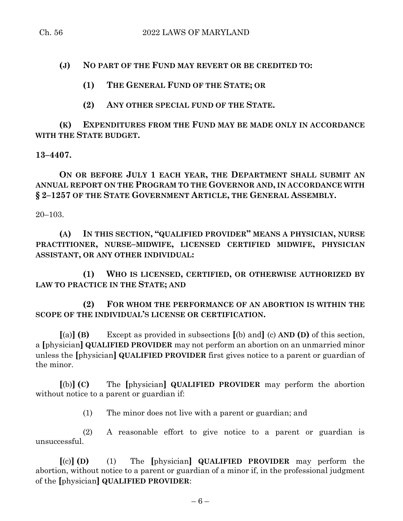**(J) NO PART OF THE FUND MAY REVERT OR BE CREDITED TO:**

**(1) THE GENERAL FUND OF THE STATE; OR** 

**(2) ANY OTHER SPECIAL FUND OF THE STATE.**

**(K) EXPENDITURES FROM THE FUND MAY BE MADE ONLY IN ACCORDANCE WITH THE STATE BUDGET.**

**13–4407.**

**ON OR BEFORE JULY 1 EACH YEAR, THE DEPARTMENT SHALL SUBMIT AN ANNUAL REPORT ON THE PROGRAM TO THE GOVERNOR AND, IN ACCORDANCE WITH § 2–1257 OF THE STATE GOVERNMENT ARTICLE, THE GENERAL ASSEMBLY.**

20–103.

**(A) IN THIS SECTION, "QUALIFIED PROVIDER" MEANS A PHYSICIAN, NURSE PRACTITIONER, NURSE–MIDWIFE, LICENSED CERTIFIED MIDWIFE, PHYSICIAN ASSISTANT, OR ANY OTHER INDIVIDUAL:**

**(1) WHO IS LICENSED, CERTIFIED, OR OTHERWISE AUTHORIZED BY LAW TO PRACTICE IN THE STATE; AND**

**(2) FOR WHOM THE PERFORMANCE OF AN ABORTION IS WITHIN THE SCOPE OF THE INDIVIDUAL'S LICENSE OR CERTIFICATION.**

**[**(a)**] (B)** Except as provided in subsections **[**(b) and**]** (c) **AND (D)** of this section, a **[**physician**] QUALIFIED PROVIDER** may not perform an abortion on an unmarried minor unless the **[**physician**] QUALIFIED PROVIDER** first gives notice to a parent or guardian of the minor.

**[**(b)**] (C)** The **[**physician**] QUALIFIED PROVIDER** may perform the abortion without notice to a parent or guardian if:

(1) The minor does not live with a parent or guardian; and

(2) A reasonable effort to give notice to a parent or guardian is unsuccessful.

**[**(c)**] (D)** (1) The **[**physician**] QUALIFIED PROVIDER** may perform the abortion, without notice to a parent or guardian of a minor if, in the professional judgment of the **[**physician**] QUALIFIED PROVIDER**: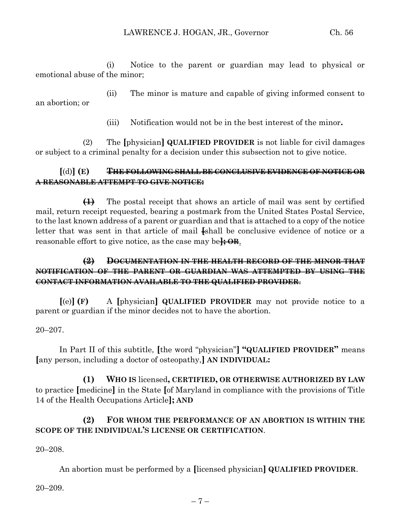(i) Notice to the parent or guardian may lead to physical or emotional abuse of the minor;

(ii) The minor is mature and capable of giving informed consent to an abortion; or

(iii) Notification would not be in the best interest of the minor**.**

(2) The **[**physician**] QUALIFIED PROVIDER** is not liable for civil damages or subject to a criminal penalty for a decision under this subsection not to give notice.

### **[**(d)**] (E) THE FOLLOWING SHALL BE CONCLUSIVE EVIDENCE OF NOTICE OR A REASONABLE ATTEMPT TO GIVE NOTICE:**

**(1)** The postal receipt that shows an article of mail was sent by certified mail, return receipt requested, bearing a postmark from the United States Postal Service, to the last known address of a parent or guardian and that is attached to a copy of the notice letter that was sent in that article of mail **[**shall be conclusive evidence of notice or a reasonable effort to give notice, as the case may be**]; OR**.

### **(2) DOCUMENTATION IN THE HEALTH RECORD OF THE MINOR THAT NOTIFICATION OF THE PARENT OR GUARDIAN WAS ATTEMPTED BY USING THE CONTACT INFORMATION AVAILABLE TO THE QUALIFIED PROVIDER**.

**[**(e)**] (F)** A **[**physician**] QUALIFIED PROVIDER** may not provide notice to a parent or guardian if the minor decides not to have the abortion.

#### 20–207.

In Part II of this subtitle, **[**the word "physician"**] "QUALIFIED PROVIDER"** means **[**any person, including a doctor of osteopathy,**] AN INDIVIDUAL:**

**(1) WHO IS** licensed**, CERTIFIED, OR OTHERWISE AUTHORIZED BY LAW** to practice **[**medicine**]** in the State **[**of Maryland in compliance with the provisions of Title 14 of the Health Occupations Article**]; AND**

## **(2) FOR WHOM THE PERFORMANCE OF AN ABORTION IS WITHIN THE SCOPE OF THE INDIVIDUAL'S LICENSE OR CERTIFICATION**.

#### 20–208.

An abortion must be performed by a **[**licensed physician**] QUALIFIED PROVIDER**.

20–209.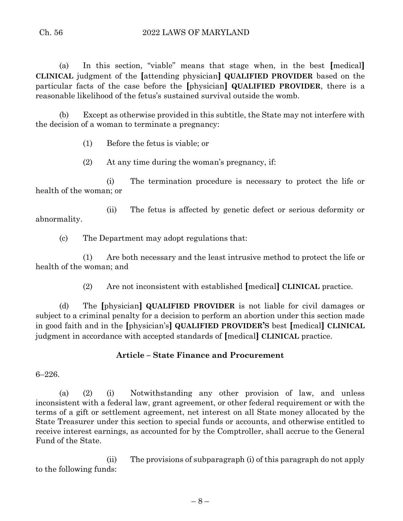(a) In this section, "viable" means that stage when, in the best **[**medical**] CLINICAL** judgment of the **[**attending physician**] QUALIFIED PROVIDER** based on the particular facts of the case before the **[**physician**] QUALIFIED PROVIDER**, there is a reasonable likelihood of the fetus's sustained survival outside the womb.

(b) Except as otherwise provided in this subtitle, the State may not interfere with the decision of a woman to terminate a pregnancy:

(1) Before the fetus is viable; or

(2) At any time during the woman's pregnancy, if:

(i) The termination procedure is necessary to protect the life or health of the woman; or

(ii) The fetus is affected by genetic defect or serious deformity or abnormality.

(c) The Department may adopt regulations that:

(1) Are both necessary and the least intrusive method to protect the life or health of the woman; and

(2) Are not inconsistent with established **[**medical**] CLINICAL** practice.

(d) The **[**physician**] QUALIFIED PROVIDER** is not liable for civil damages or subject to a criminal penalty for a decision to perform an abortion under this section made in good faith and in the **[**physician's**] QUALIFIED PROVIDER'S** best **[**medical**] CLINICAL** judgment in accordance with accepted standards of **[**medical**] CLINICAL** practice.

## **Article – State Finance and Procurement**

6–226.

(a) (2) (i) Notwithstanding any other provision of law, and unless inconsistent with a federal law, grant agreement, or other federal requirement or with the terms of a gift or settlement agreement, net interest on all State money allocated by the State Treasurer under this section to special funds or accounts, and otherwise entitled to receive interest earnings, as accounted for by the Comptroller, shall accrue to the General Fund of the State.

(ii) The provisions of subparagraph (i) of this paragraph do not apply to the following funds: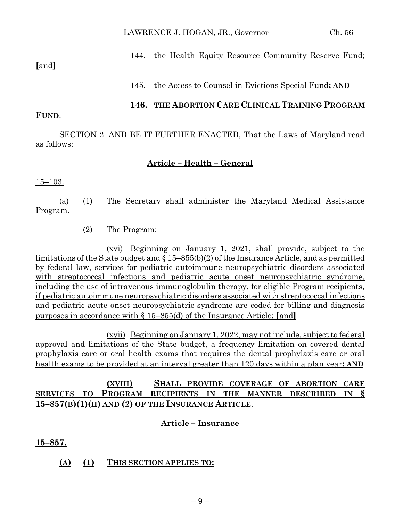## 144. the Health Equity Resource Community Reserve Fund;

### **[**and**]**

145. the Access to Counsel in Evictions Special Fund**; AND**

### **146. THE ABORTION CARE CLINICAL TRAINING PROGRAM**

## **FUND**.

SECTION 2. AND BE IT FURTHER ENACTED, That the Laws of Maryland read as follows:

## **Article – Health – General**

#### 15–103.

(a) (1) The Secretary shall administer the Maryland Medical Assistance Program.

### (2) The Program:

(xvi) Beginning on January 1, 2021, shall provide, subject to the limitations of the State budget and § 15–855(b)(2) of the Insurance Article, and as permitted by federal law, services for pediatric autoimmune neuropsychiatric disorders associated with streptococcal infections and pediatric acute onset neuropsychiatric syndrome, including the use of intravenous immunoglobulin therapy, for eligible Program recipients, if pediatric autoimmune neuropsychiatric disorders associated with streptococcal infections and pediatric acute onset neuropsychiatric syndrome are coded for billing and diagnosis purposes in accordance with § 15–855(d) of the Insurance Article; **[**and**]**

(xvii) Beginning on January 1, 2022, may not include, subject to federal approval and limitations of the State budget, a frequency limitation on covered dental prophylaxis care or oral health exams that requires the dental prophylaxis care or oral health exams to be provided at an interval greater than 120 days within a plan year**; AND**

## **(XVIII) SHALL PROVIDE COVERAGE OF ABORTION CARE SERVICES TO PROGRAM RECIPIENTS IN THE MANNER DESCRIBED IN § 15–857(B)(1)(II) AND (2) OF THE INSURANCE ARTICLE**.

# **Article – Insurance**

**15–857.**

## **(A) (1) THIS SECTION APPLIES TO:**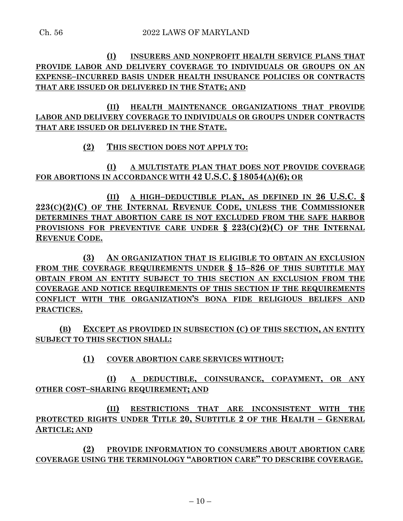**(I) INSURERS AND NONPROFIT HEALTH SERVICE PLANS THAT PROVIDE LABOR AND DELIVERY COVERAGE TO INDIVIDUALS OR GROUPS ON AN EXPENSE–INCURRED BASIS UNDER HEALTH INSURANCE POLICIES OR CONTRACTS THAT ARE ISSUED OR DELIVERED IN THE STATE; AND** 

**(II) HEALTH MAINTENANCE ORGANIZATIONS THAT PROVIDE LABOR AND DELIVERY COVERAGE TO INDIVIDUALS OR GROUPS UNDER CONTRACTS THAT ARE ISSUED OR DELIVERED IN THE STATE.**

#### **(2) THIS SECTION DOES NOT APPLY TO:**

**(I) A MULTISTATE PLAN THAT DOES NOT PROVIDE COVERAGE FOR ABORTIONS IN ACCORDANCE WITH 42 U.S.C. § 18054(A)(6); OR** 

**(II) A HIGH–DEDUCTIBLE PLAN, AS DEFINED IN 26 U.S.C. § 223(C)(2)(C) OF THE INTERNAL REVENUE CODE, UNLESS THE COMMISSIONER DETERMINES THAT ABORTION CARE IS NOT EXCLUDED FROM THE SAFE HARBOR PROVISIONS FOR PREVENTIVE CARE UNDER § 223(C)(2)(C) OF THE INTERNAL REVENUE CODE.**

**(3) AN ORGANIZATION THAT IS ELIGIBLE TO OBTAIN AN EXCLUSION FROM THE COVERAGE REQUIREMENTS UNDER § 15–826 OF THIS SUBTITLE MAY OBTAIN FROM AN ENTITY SUBJECT TO THIS SECTION AN EXCLUSION FROM THE COVERAGE AND NOTICE REQUIREMENTS OF THIS SECTION IF THE REQUIREMENTS CONFLICT WITH THE ORGANIZATION'S BONA FIDE RELIGIOUS BELIEFS AND PRACTICES.**

**(B) EXCEPT AS PROVIDED IN SUBSECTION (C) OF THIS SECTION, AN ENTITY SUBJECT TO THIS SECTION SHALL:**

**(1) COVER ABORTION CARE SERVICES WITHOUT:**

**(I) A DEDUCTIBLE, COINSURANCE, COPAYMENT, OR ANY OTHER COST–SHARING REQUIREMENT; AND** 

**(II) RESTRICTIONS THAT ARE INCONSISTENT WITH THE PROTECTED RIGHTS UNDER TITLE 20, SUBTITLE 2 OF THE HEALTH – GENERAL ARTICLE; AND**

**(2) PROVIDE INFORMATION TO CONSUMERS ABOUT ABORTION CARE COVERAGE USING THE TERMINOLOGY "ABORTION CARE" TO DESCRIBE COVERAGE.**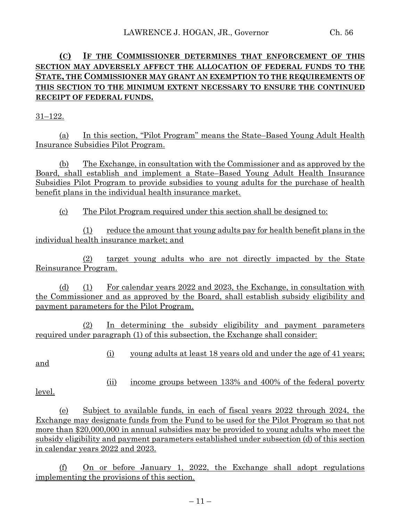## **(C) IF THE COMMISSIONER DETERMINES THAT ENFORCEMENT OF THIS SECTION MAY ADVERSELY AFFECT THE ALLOCATION OF FEDERAL FUNDS TO THE STATE, THE COMMISSIONER MAY GRANT AN EXEMPTION TO THE REQUIREMENTS OF THIS SECTION TO THE MINIMUM EXTENT NECESSARY TO ENSURE THE CONTINUED RECEIPT OF FEDERAL FUNDS.**

31–122.

(a) In this section, "Pilot Program" means the State–Based Young Adult Health Insurance Subsidies Pilot Program.

(b) The Exchange, in consultation with the Commissioner and as approved by the Board, shall establish and implement a State–Based Young Adult Health Insurance Subsidies Pilot Program to provide subsidies to young adults for the purchase of health benefit plans in the individual health insurance market.

(c) The Pilot Program required under this section shall be designed to:

(1) reduce the amount that young adults pay for health benefit plans in the individual health insurance market; and

(2) target young adults who are not directly impacted by the State Reinsurance Program.

(d) (1) For calendar years 2022 and 2023, the Exchange, in consultation with the Commissioner and as approved by the Board, shall establish subsidy eligibility and payment parameters for the Pilot Program.

(2) In determining the subsidy eligibility and payment parameters required under paragraph (1) of this subsection, the Exchange shall consider:

and

(i) young adults at least 18 years old and under the age of 41 years;

level.

(ii) income groups between 133% and 400% of the federal poverty

(e) Subject to available funds, in each of fiscal years 2022 through 2024, the Exchange may designate funds from the Fund to be used for the Pilot Program so that not more than \$20,000,000 in annual subsidies may be provided to young adults who meet the subsidy eligibility and payment parameters established under subsection (d) of this section in calendar years 2022 and 2023.

(f) On or before January 1, 2022, the Exchange shall adopt regulations implementing the provisions of this section.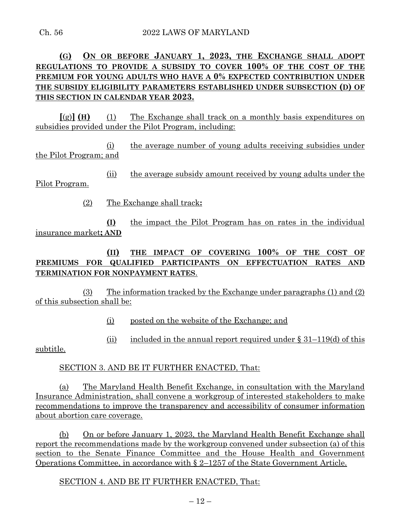## **(G) ON OR BEFORE JANUARY 1, 2023, THE EXCHANGE SHALL ADOPT REGULATIONS TO PROVIDE A SUBSIDY TO COVER 100% OF THE COST OF THE PREMIUM FOR YOUNG ADULTS WHO HAVE A 0% EXPECTED CONTRIBUTION UNDER THE SUBSIDY ELIGIBILITY PARAMETERS ESTABLISHED UNDER SUBSECTION (D) OF THIS SECTION IN CALENDAR YEAR 2023.**

**[**(g)**] (H)** (1) The Exchange shall track on a monthly basis expenditures on subsidies provided under the Pilot Program, including:

(i) the average number of young adults receiving subsidies under the Pilot Program; and

(ii) the average subsidy amount received by young adults under the Pilot Program.

(2) The Exchange shall track**:**

**(I)** the impact the Pilot Program has on rates in the individual insurance market**; AND**

**(II) THE IMPACT OF COVERING 100% OF THE COST OF PREMIUMS FOR QUALIFIED PARTICIPANTS ON EFFECTUATION RATES AND TERMINATION FOR NONPAYMENT RATES**.

(3) The information tracked by the Exchange under paragraphs (1) and (2) of this subsection shall be:

(i) posted on the website of the Exchange; and

(ii) included in the annual report required under  $\S 31-119$ (d) of this

subtitle.

#### SECTION 3. AND BE IT FURTHER ENACTED, That:

(a) The Maryland Health Benefit Exchange, in consultation with the Maryland Insurance Administration, shall convene a workgroup of interested stakeholders to make recommendations to improve the transparency and accessibility of consumer information about abortion care coverage.

(b) On or before January 1, 2023, the Maryland Health Benefit Exchange shall report the recommendations made by the workgroup convened under subsection (a) of this section to the Senate Finance Committee and the House Health and Government Operations Committee, in accordance with § 2–1257 of the State Government Article.

SECTION 4. AND BE IT FURTHER ENACTED, That: